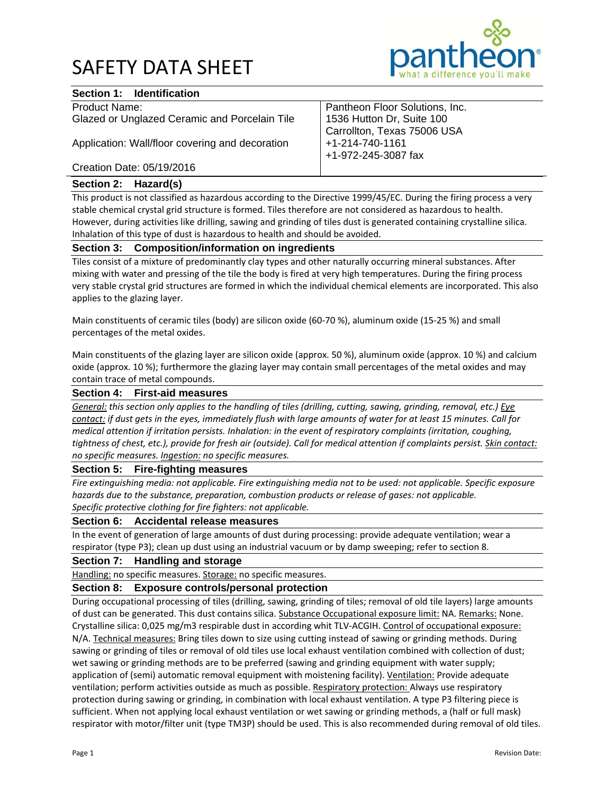## SAFETY DATA SHEET



## **Section 1: Identification**

| Product Name:                                   | Pantheon Floor Solutions, Inc. |
|-------------------------------------------------|--------------------------------|
| Glazed or Unglazed Ceramic and Porcelain Tile   | 1536 Hutton Dr, Suite 100      |
|                                                 | Carrollton, Texas 75006 USA    |
| Application: Wall/floor covering and decoration | +1-214-740-1161                |
|                                                 | +1-972-245-3087 fax            |
| Creation Date: 05/19/2016                       |                                |

## **Section 2: Hazard(s)**

This product is not classified as hazardous according to the Directive 1999/45/EC. During the firing process a very stable chemical crystal grid structure is formed. Tiles therefore are not considered as hazardous to health. However, during activities like drilling, sawing and grinding of tiles dust is generated containing crystalline silica. Inhalation of this type of dust is hazardous to health and should be avoided.

## **Section 3: Composition/information on ingredients**

Tiles consist of a mixture of predominantly clay types and other naturally occurring mineral substances. After mixing with water and pressing of the tile the body is fired at very high temperatures. During the firing process very stable crystal grid structures are formed in which the individual chemical elements are incorporated. This also applies to the glazing layer.

Main constituents of ceramic tiles (body) are silicon oxide (60-70 %), aluminum oxide (15-25 %) and small percentages of the metal oxides.

Main constituents of the glazing layer are silicon oxide (approx. 50 %), aluminum oxide (approx. 10 %) and calcium oxide (approx. 10 %); furthermore the glazing layer may contain small percentages of the metal oxides and may contain trace of metal compounds.

#### **Section 4: First-aid measures**

General: this section only applies to the handling of tiles (drilling, cutting, sawing, grinding, removal, etc.) Eye contact: if dust gets in the eyes, immediately flush with large amounts of water for at least 15 minutes. Call for *medical attention if irritation persists. Inhalation: in the event of respiratory complaints (irritation, coughing,* tightness of chest, etc.), provide for fresh air (outside). Call for medical attention if complaints persist. Skin contact: *no specific measures. Ingestion: no specific measures.*

### **Section 5: Fire-fighting measures**

Fire extinguishing media: not applicable. Fire extinguishing media not to be used: not applicable. Specific exposure *hazards due to the substance, preparation, combustion products or release of gases: not applicable. Specific protective clothing for fire fighters: not applicable.*

### **Section 6: Accidental release measures**

In the event of generation of large amounts of dust during processing: provide adequate ventilation; wear a respirator (type P3); clean up dust using an industrial vacuum or by damp sweeping; refer to section 8.

### **Section 7: Handling and storage**

Handling: no specific measures. Storage: no specific measures.

### **Section 8: Exposure controls/personal protection**

During occupational processing of tiles (drilling, sawing, grinding of tiles; removal of old tile layers) large amounts of dust can be generated. This dust contains silica. Substance Occupational exposure limit: NA. Remarks: None. Crystalline silica: 0,025 mg/m3 respirable dust in according whit TLV‐ACGIH. Control of occupational exposure: N/A. Technical measures: Bring tiles down to size using cutting instead of sawing or grinding methods. During sawing or grinding of tiles or removal of old tiles use local exhaust ventilation combined with collection of dust; wet sawing or grinding methods are to be preferred (sawing and grinding equipment with water supply; application of (semi) automatic removal equipment with moistening facility). Ventilation: Provide adequate ventilation; perform activities outside as much as possible. Respiratory protection: Always use respiratory protection during sawing or grinding, in combination with local exhaust ventilation. A type P3 filtering piece is sufficient. When not applying local exhaust ventilation or wet sawing or grinding methods, a (half or full mask) respirator with motor/filter unit (type TM3P) should be used. This is also recommended during removal of old tiles.